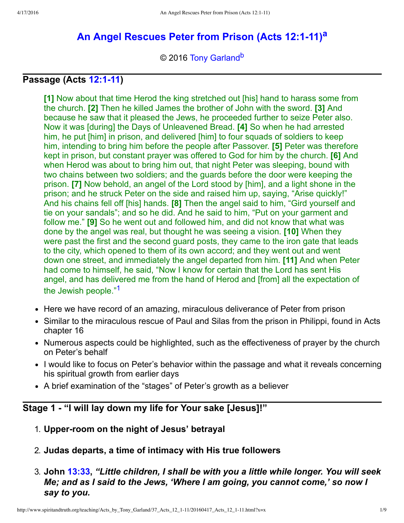# An Angel Rescues Peter from Prison (Acts 12:1-11)<sup>[a](#page-8-0)</sup>

<span id="page-0-2"></span><span id="page-0-1"></span>© 2016 [Tony Garland](http://www.spiritandtruth.org/id/tg.htm)<sup>[b](#page-8-1)</sup>

#### **Passage (Acts 12:1-11)**

**[1]** Now about that time Herod the king stretched out [his] hand to harass some from the church. **[2]** Then he killed James the brother of John with the sword. **[3]** And because he saw that it pleased the Jews, he proceeded further to seize Peter also. Now it was [during] the Days of Unleavened Bread. **[4]** So when he had arrested him, he put [him] in prison, and delivered [him] to four squads of soldiers to keep him, intending to bring him before the people after Passover. **[5]** Peter was therefore kept in prison, but constant prayer was offered to God for him by the church. **[6]** And when Herod was about to bring him out, that night Peter was sleeping, bound with two chains between two soldiers; and the guards before the door were keeping the prison. **[7]** Now behold, an angel of the Lord stood by [him], and a light shone in the prison; and he struck Peter on the side and raised him up, saying, "Arise quickly!" And his chains fell off [his] hands. **[8]** Then the angel said to him, "Gird yourself and tie on your sandals"; and so he did. And he said to him, "Put on your garment and follow me." **[9]** So he went out and followed him, and did not know that what was done by the angel was real, but thought he was seeing a vision. **[10]** When they were past the first and the second guard posts, they came to the iron gate that leads to the city, which opened to them of its own accord; and they went out and went down one street, and immediately the angel departed from him. **[11]** And when Peter had come to himself, he said, "Now I know for certain that the Lord has sent His angel, and has delivered me from the hand of Herod and [from] all the expectation of the Jewish people."[1](#page-7-0)

- <span id="page-0-0"></span>• Here we have record of an amazing, miraculous deliverance of Peter from prison
- Similar to the miraculous rescue of Paul and Silas from the prison in Philippi, found in Acts chapter 16
- Numerous aspects could be highlighted, such as the effectiveness of prayer by the church on Peter's behalf
- I would like to focus on Peter's behavior within the passage and what it reveals concerning his spiritual growth from earlier days
- A brief examination of the "stages" of Peter's growth as a believer

#### **Stage 1 "I will lay down my life for Your sake [Jesus]!"**

- 1. **Upperroom on the night of Jesus' betrayal**
- 2. **Judas departs, a time of intimacy with His true followers**

#### 3. **John [13:33,](http://www.spiritandtruth.org/bibles/nasb/b43c013.htm#John_C13V33)** *"Little children, I shall be with you a little while longer. You will seek Me; and as I said to the Jews, 'Where I am going, you cannot come,' so now I say to you.*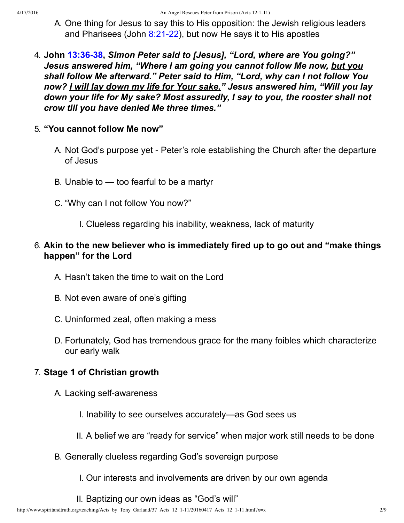- A. One thing for Jesus to say this to His opposition: the Jewish religious leaders and Pharisees (John  $8:21-22$ ), but now He says it to His apostles
- 4. **John [13:3638](http://www.spiritandtruth.org/bibles/nasb/b43c013.htm#John_C13V36),** *Simon Peter said to [Jesus], "Lord, where are You going?" Jesus answered him, "Where I am going you cannot follow Me now, but you shall follow Me afterward." Peter said to Him, "Lord, why can I not follow You now? I will lay down my life for Your sake." Jesus answered him, "Will you lay down your life for My sake? Most assuredly, I say to you, the rooster shall not crow till you have denied Me three times."*
- 5. **"You cannot follow Me now"**
	- A. Not God's purpose yet Peter's role establishing the Church after the departure of Jesus
	- B. Unable to too fearful to be a martyr
	- C. "Why can I not follow You now?"
		- I. Clueless regarding his inability, weakness, lack of maturity

## 6. **Akin to the new believer who is immediately fired up to go out and "make things happen" for the Lord**

- A. Hasn't taken the time to wait on the Lord
- B. Not even aware of one's gifting
- C. Uninformed zeal, often making a mess
- D. Fortunately, God has tremendous grace for the many foibles which characterize our early walk

## 7. **Stage 1 of Christian growth**

- A. Lacking self-awareness
	- I. Inability to see ourselves accurately—as God sees us
	- II. A belief we are "ready for service" when major work still needs to be done
- B. Generally clueless regarding God's sovereign purpose
	- I. Our interests and involvements are driven by our own agenda
	- II. Baptizing our own ideas as "God's will"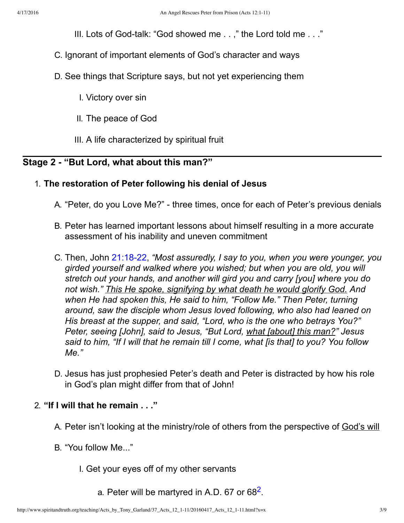III. Lots of God-talk: "God showed me  $\ldots$ ," the Lord told me  $\ldots$ ."

- C. Ignorant of important elements of God's character and ways
- D. See things that Scripture says, but not yet experiencing them
	- I. Victory over sin
	- II. The peace of God
	- III. A life characterized by spiritual fruit

## **Stage 2 "But Lord, what about this man?"**

#### 1. **The restoration of Peter following his denial of Jesus**

- A. "Peter, do you Love Me?" three times, once for each of Peter's previous denials
- B. Peter has learned important lessons about himself resulting in a more accurate assessment of his inability and uneven commitment
- C. Then, John 21:18-22, *"Most assuredly, I say to you, when you were younger, you girded yourself and walked where you wished; but when you are old, you will stretch out your hands, and another will gird you and carry [you] where you do not wish." This He spoke, signifying by what death he would glorify God. And when He had spoken this, He said to him, "Follow Me." Then Peter, turning around, saw the disciple whom Jesus loved following, who also had leaned on His breast at the supper, and said, "Lord, who is the one who betrays You?" Peter, seeing [John], said to Jesus, "But Lord, what [about] this man?" Jesus said to him, "If I will that he remain till I come, what [is that] to you? You follow Me."*
- D. Jesus has just prophesied Peter's death and Peter is distracted by how his role in God's plan might differ from that of John!

#### 2. **"If I will that he remain . . ."**

- A. Peter isn't looking at the ministry/role of others from the perspective of God's will
- <span id="page-2-0"></span>B. "You follow Me..."
	- I. Get your eyes off of my other servants
		- a. Peter will be martyred in A.D. 67 or 68 $2$ .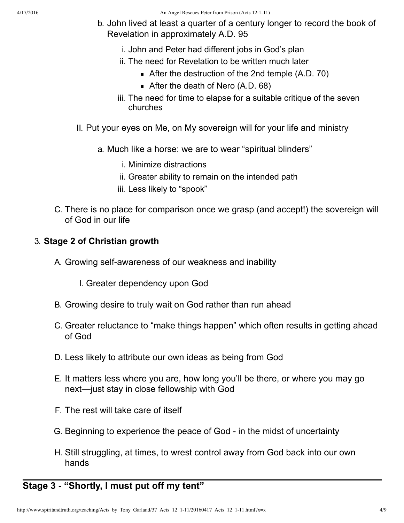- b. John lived at least a quarter of a century longer to record the book of Revelation in approximately A.D. 95
	- i. John and Peter had different jobs in God's plan
	- ii. The need for Revelation to be written much later
		- After the destruction of the 2nd temple (A.D. 70)
		- After the death of Nero (A.D. 68)
	- iii. The need for time to elapse for a suitable critique of the seven churches
- II. Put your eyes on Me, on My sovereign will for your life and ministry
	- a. Much like a horse: we are to wear "spiritual blinders"
		- i. Minimize distractions
		- ii. Greater ability to remain on the intended path
		- iii. Less likely to "spook"
- C. There is no place for comparison once we grasp (and accept!) the sovereign will of God in our life

#### 3. **Stage 2 of Christian growth**

A. Growing self-awareness of our weakness and inability

I. Greater dependency upon God

- B. Growing desire to truly wait on God rather than run ahead
- C. Greater reluctance to "make things happen" which often results in getting ahead of God
- D. Less likely to attribute our own ideas as being from God
- E. It matters less where you are, how long you'll be there, or where you may go next—just stay in close fellowship with God
- F. The rest will take care of itself
- G. Beginning to experience the peace of God in the midst of uncertainty
- H. Still struggling, at times, to wrest control away from God back into our own hands

# **Stage 3 "Shortly, I must put off my tent"**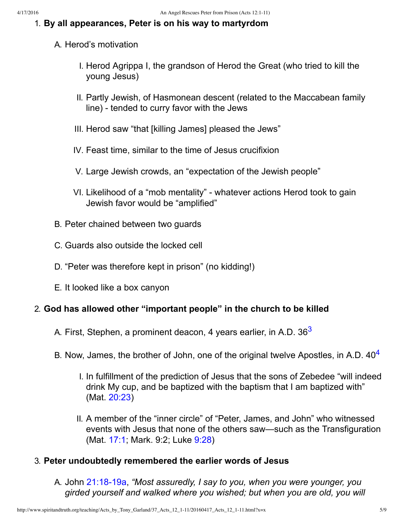#### 1. **By all appearances, Peter is on his way to martyrdom**

#### A. Herod's motivation

- I. Herod Agrippa I, the grandson of Herod the Great (who tried to kill the young Jesus)
- II. Partly Jewish, of Hasmonean descent (related to the Maccabean family line) - tended to curry favor with the Jews
- III. Herod saw "that [killing James] pleased the Jews"
- IV. Feast time, similar to the time of Jesus crucifixion
- V. Large Jewish crowds, an "expectation of the Jewish people"
- VI. Likelihood of a "mob mentality" whatever actions Herod took to gain Jewish favor would be "amplified"
- B. Peter chained between two guards
- C. Guards also outside the locked cell
- D. "Peter was therefore kept in prison" (no kidding!)
- E. It looked like a box canyon

#### 2. **God has allowed other "important people" in the church to be killed**

- <span id="page-4-1"></span><span id="page-4-0"></span>A. First, Stephen, a prominent deacon, 4 years earlier, in A.D. [3](#page-8-2)6<sup>3</sup>
- B. Now, James, the brother of John, one of the original twelve Apostles, in A.D.  $40<sup>4</sup>$  $40<sup>4</sup>$ 
	- I. In fulfillment of the prediction of Jesus that the sons of Zebedee "will indeed drink My cup, and be baptized with the baptism that I am baptized with" (Mat. [20:23](http://www.spiritandtruth.org/bibles/nasb/b40c020.htm#Mat._C20V23))
	- II. A member of the "inner circle" of "Peter, James, and John" who witnessed events with Jesus that none of the others saw—such as the Transfiguration (Mat. [17:1;](http://www.spiritandtruth.org/bibles/nasb/b40c017.htm#Mat._C17V1) Mark. 9:2; Luke [9:28\)](http://www.spiritandtruth.org/bibles/nasb/b42c009.htm#Luke_C9V28)

#### 3. **Peter undoubtedly remembered the earlier words of Jesus**

A. John 21:18-19a, *"Most assuredly, I say to you, when you were younger, you girded yourself and walked where you wished; but when you are old, you will*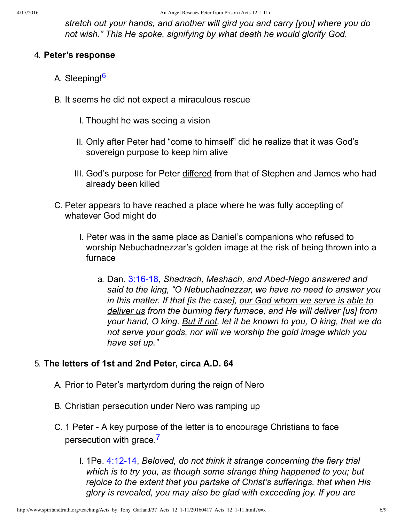*stretch out your hands, and another will gird you and carry [you] where you do not wish." This He spoke, signifying by what death he would glorify God.*

#### 4. **Peter's response**

- <span id="page-5-0"></span>A. Sleeping!<sup>[6](#page-8-4)</sup>
- B. It seems he did not expect a miraculous rescue
	- I. Thought he was seeing a vision
	- II. Only after Peter had "come to himself" did he realize that it was God's sovereign purpose to keep him alive
	- III. God's purpose for Peter differed from that of Stephen and James who had already been killed
- C. Peter appears to have reached a place where he was fully accepting of whatever God might do
	- I. Peter was in the same place as Daniel's companions who refused to worship Nebuchadnezzar's golden image at the risk of being thrown into a furnace
		- a. Dan. 3:16-18, *Shadrach, Meshach, and Abed-Nego answered and said to the king, "O Nebuchadnezzar, we have no need to answer you in this matter. If that [is the case], our God whom we serve is able to deliver us from the burning fiery furnace, and He will deliver [us] from your hand, O king. But if not, let it be known to you, O king, that we do not serve your gods, nor will we worship the gold image which you have set up."*

## 5. **The letters of 1st and 2nd Peter, circa A.D. 64**

- A. Prior to Peter's martyrdom during the reign of Nero
- B. Christian persecution under Nero was ramping up
- <span id="page-5-1"></span>C. 1 Peter A key purpose of the letter is to encourage Christians to face persecution with grace.<sup>[7](#page-8-5)</sup>
	- I. 1Pe. 4:12-14, *Beloved, do not think it strange concerning the fiery trial which is to try you, as though some strange thing happened to you; but rejoice to the extent that you partake of Christ's sufferings, that when His glory is revealed, you may also be glad with exceeding joy. If you are*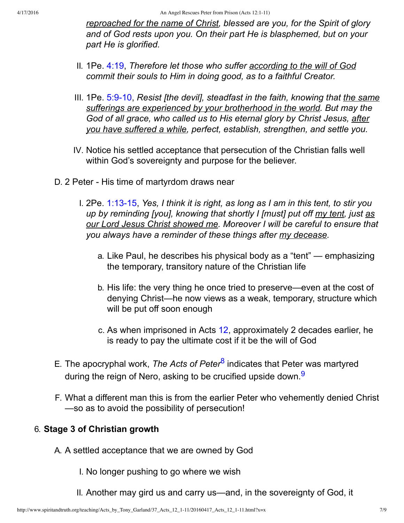*reproached for the name of Christ, blessed are you, for the Spirit of glory and of God rests upon you. On their part He is blasphemed, but on your part He is glorified.*

- II. 1Pe. [4:19,](http://www.spiritandtruth.org/bibles/nasb/b60c004.htm#1Pe._C4V19) *Therefore let those who suffer according to the will of God commit their souls to Him in doing good, as to a faithful Creator.*
- III. 1Pe. [5:910,](http://www.spiritandtruth.org/bibles/nasb/b60c005.htm#1Pe._C5V9) *Resist [the devil], steadfast in the faith, knowing that the same sufferings are experienced by your brotherhood in the world. But may the God of all grace, who called us to His eternal glory by Christ Jesus, after you have suffered a while, perfect, establish, strengthen, and settle you.*
- IV. Notice his settled acceptance that persecution of the Christian falls well within God's sovereignty and purpose for the believer.
- D. 2 Peter His time of martyrdom draws near
	- I. 2Pe. 1:13-15, *Yes, I think it is right, as long as I am in this tent, to stir you up by reminding [you], knowing that shortly I [must] put off my tent, just as our Lord Jesus Christ showed me. Moreover I will be careful to ensure that you always have a reminder of these things after my decease.*
		- a. Like Paul, he describes his physical body as a "tent" emphasizing the temporary, transitory nature of the Christian life
		- b. His life: the very thing he once tried to preserve—even at the cost of denying Christ—he now views as a weak, temporary, structure which will be put off soon enough
		- c. As when imprisoned in Acts [12,](http://www.spiritandtruth.org/bibles/nasb/b44c012.htm#Acts_C12V1) approximately 2 decades earlier, he is ready to pay the ultimate cost if it be the will of God
- <span id="page-6-0"></span>E. The apocryphal work, *The Acts of Peter*[8](#page-8-6) indicates that Peter was martyred during the reign of Nero, asking to be crucified upside down.<sup>[9](#page-8-7)</sup>
- F. What a different man this is from the earlier Peter who vehemently denied Christ —so as to avoid the possibility of persecution!

#### 6. **Stage 3 of Christian growth**

A. A settled acceptance that we are owned by God

<span id="page-6-1"></span>I. No longer pushing to go where we wish

II. Another may gird us and carry us—and, in the sovereignty of God, it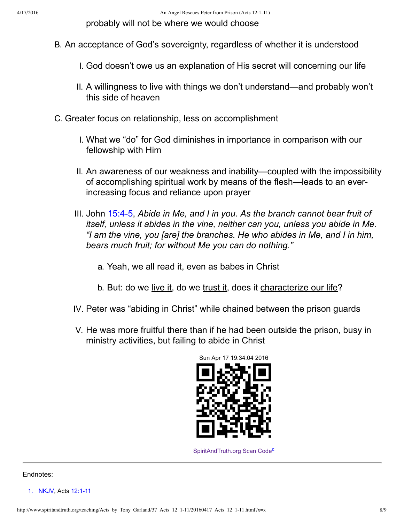probably will not be where we would choose

- B. An acceptance of God's sovereignty, regardless of whether it is understood
	- I. God doesn't owe us an explanation of His secret will concerning our life
	- II. A willingness to live with things we don't understand—and probably won't this side of heaven
- C. Greater focus on relationship, less on accomplishment
	- I. What we "do" for God diminishes in importance in comparison with our fellowship with Him
	- II. An awareness of our weakness and inability—coupled with the impossibility of accomplishing spiritual work by means of the flesh—leads to an everincreasing focus and reliance upon prayer
	- III. John [15:45,](http://www.spiritandtruth.org/bibles/nasb/b43c015.htm#John_C15V4) *Abide in Me, and I in you. As the branch cannot bear fruit of itself, unless it abides in the vine, neither can you, unless you abide in Me. "I am the vine, you [are] the branches. He who abides in Me, and I in him, bears much fruit; for without Me you can do nothing."*
		- a. Yeah, we all read it, even as babes in Christ
		- b. But: do we <u>live it</u>, do we trust it, does it characterize our life?
	- IV. Peter was "abiding in Christ" while chained between the prison guards
	- V. He was more fruitful there than if he had been outside the prison, busy in ministry activities, but failing to abide in Christ



<span id="page-7-2"></span>[SpiritAndTruth.org Scan Code](http://www.spiritandtruth.org/)<sup>[c](#page-8-8)</sup>

#### Endnotes:

<span id="page-7-1"></span><span id="page-7-0"></span>[1.](#page-0-0) [NKJV,](#page-8-9) Acts 12:1-11